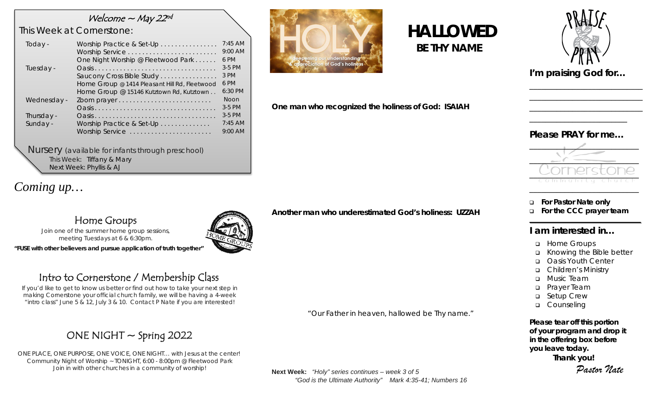### Welcome  $\sim$  May 22nd

## *This Week at Cornerstone:*

| Today -                | Worship Practice & Set-Up                                                                 | $7:45$ AM<br>9:00 AM             |
|------------------------|-------------------------------------------------------------------------------------------|----------------------------------|
| Tuesday -              | One Night Worship @ Fleetwood Park<br>Saucony Cross Bible Study                           | 6 PM<br>$3-5$ PM<br>3 PM<br>6 PM |
|                        | Home Group @ 1414 Pleasant Hill Rd, Fleetwood<br>Home Group @ 15146 Kutztown Rd, Kutztown | $6:30$ PM                        |
| Wednesday -            |                                                                                           | <b>Noon</b><br>$3-5$ PM          |
| Thursday -<br>Sunday - | Worship Practice & Set-Up                                                                 | $3-5$ PM<br>$7:45$ AM            |
|                        | Worship Service                                                                           | 9:00 AM                          |

*Nursery (available for infants through preschool)* This Week: Tiffany & Mary Next Week: Phyllis & AJ

# *Coming up…*

## Home Groups

*Join one of the summer home group sessions, meeting Tuesdays at 6 & 6:30pm.* 

*"FUSE with other believers and pursue application of truth together"*

# Intro to Cornerstone / Membership Class

*If you'd like to get to know us better or find out how to take your next step in making Cornerstone your official church family, we will be having a 4-week "intro class" June 5 & 12, July 3 & 10. Contact P Nate if you are interested!*

# ONE NIGHT  $\sim$  Spring 2022

*ONE PLACE, ONE PURPOSE, ONE VOICE, ONE NIGHT… with Jesus at the center! Community Night of Worship ~ TONIGHT, 6:00 - 8:00pm @ Fleetwood Park Join in with other churches in a community of worship!* 



# *HALLOWED BE THY NAME*



\_\_\_\_\_\_\_\_\_\_\_\_\_\_\_\_\_\_\_\_\_\_\_\_\_\_\_\_\_ \_\_\_\_\_\_\_\_\_\_\_\_\_\_\_\_\_\_\_\_\_\_\_\_\_\_\_\_\_ \_\_\_\_\_\_\_\_\_\_\_\_\_\_\_\_\_\_\_\_\_\_\_\_\_\_\_\_\_

*I'm praising God for…* 

*One man who recognized the holiness of God: ISAIAH*

#### *Please PRAY for me…*

\_\_\_\_\_\_\_\_\_\_\_\_\_\_\_\_\_\_\_\_\_\_\_\_\_



**For Pastor Nate only**

**For the CCC prayer team** 

#### **I am interested in…**

- **D** Home Groups
- Knowing the Bible better
- o Oasis Youth Center
- Children's Ministry
- **D** Music Team
- **D** Prayer Team
- □ Setup Crew
- **Q** Counseling

*Please tear off this portion of your program and drop it in the offering box before you leave today.* **Thank you!**

*Pastor Nate*

**Next Week:** *"Holy" series continues – week 3 of 5 "God is the Ultimate Authority" Mark 4:35-41; Numbers 16*

#### *Another man who underestimated God's holiness: UZZAH*



*"Our Father in heaven, hallowed be Thy name."*